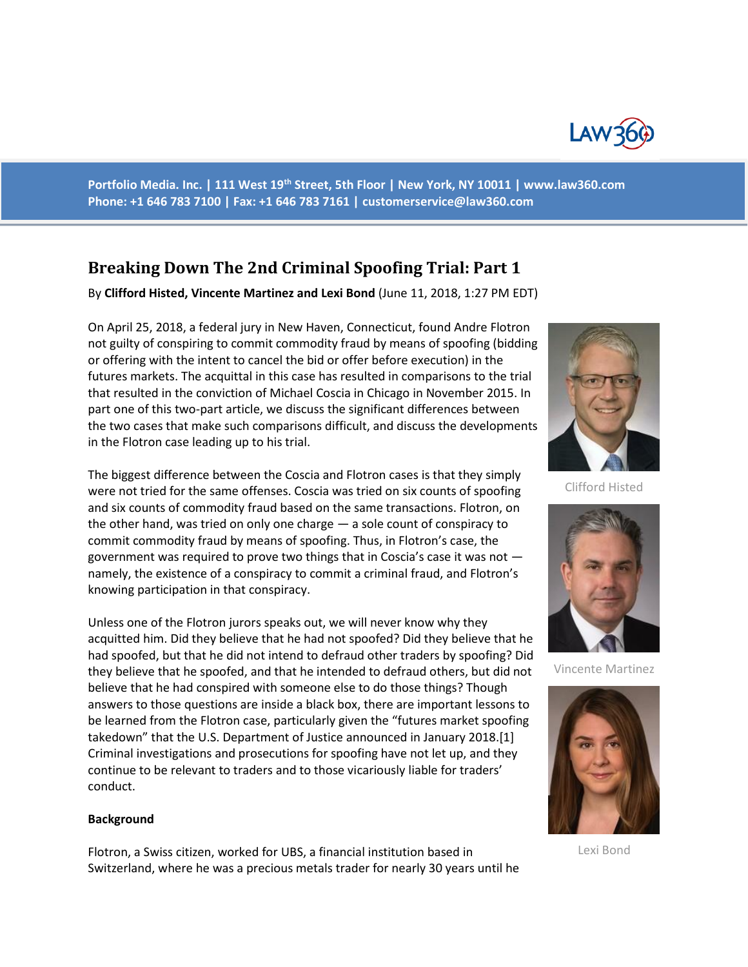

**Portfolio Media. Inc. | 111 West 19th Street, 5th Floor | New York, NY 10011 | www.law360.com Phone: +1 646 783 7100 | Fax: +1 646 783 7161 | [customerservice@law360.com](mailto:customerservice@law360.com)**

# **Breaking Down The 2nd Criminal Spoofing Trial: Part 1**

By **Clifford Histed, Vincente Martinez and Lexi Bond** (June 11, 2018, 1:27 PM EDT)

On April 25, 2018, a federal jury in New Haven, Connecticut, found Andre Flotron not guilty of conspiring to commit commodity fraud by means of spoofing (bidding or offering with the intent to cancel the bid or offer before execution) in the futures markets. The acquittal in this case has resulted in comparisons to the trial that resulted in the conviction of Michael Coscia in Chicago in November 2015. In part one of this two-part article, we discuss the significant differences between the two cases that make such comparisons difficult, and discuss the developments in the Flotron case leading up to his trial.

The biggest difference between the Coscia and Flotron cases is that they simply were not tried for the same offenses. Coscia was tried on six counts of spoofing and six counts of commodity fraud based on the same transactions. Flotron, on the other hand, was tried on only one charge — a sole count of conspiracy to commit commodity fraud by means of spoofing. Thus, in Flotron's case, the government was required to prove two things that in Coscia's case it was not namely, the existence of a conspiracy to commit a criminal fraud, and Flotron's knowing participation in that conspiracy.

Unless one of the Flotron jurors speaks out, we will never know why they acquitted him. Did they believe that he had not spoofed? Did they believe that he had spoofed, but that he did not intend to defraud other traders by spoofing? Did they believe that he spoofed, and that he intended to defraud others, but did not believe that he had conspired with someone else to do those things? Though answers to those questions are inside a black box, there are important lessons to be learned from the Flotron case, particularly given the "futures market spoofing takedown" that the U.S. Department of Justice announced in January 2018.[1] Criminal investigations and prosecutions for spoofing have not let up, and they continue to be relevant to traders and to those vicariously liable for traders' conduct.

#### **Background**

Flotron, a Swiss citizen, worked for UBS, a financial institution based in Switzerland, where he was a precious metals trader for nearly 30 years until he



Clifford Histed



Vincente Martinez



Lexi Bond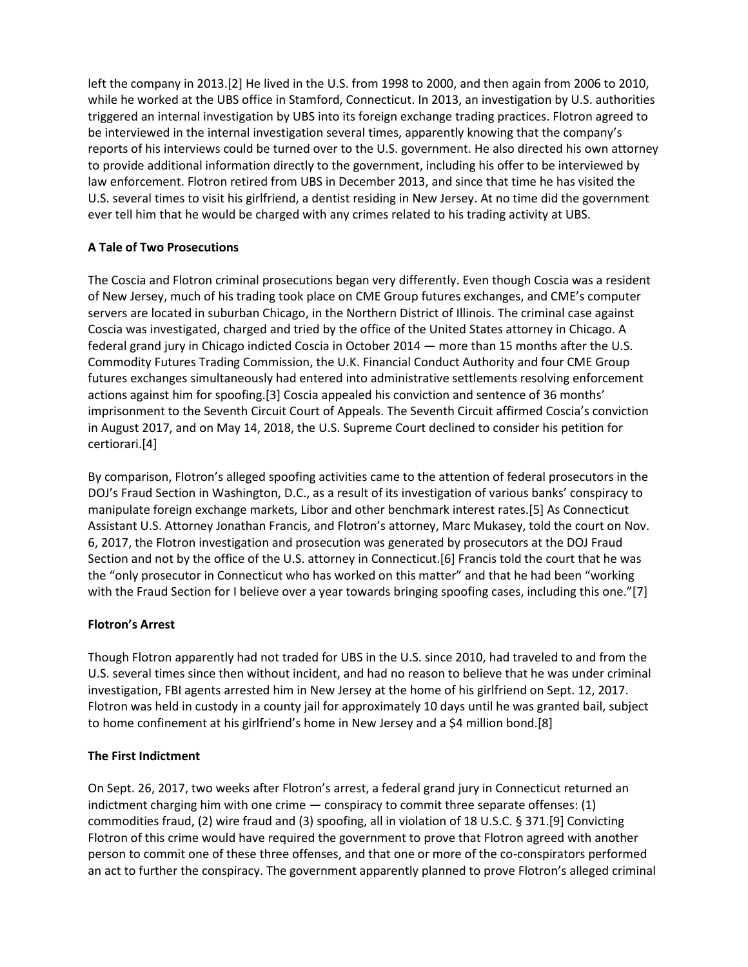left the company in 2013.[2] He lived in the U.S. from 1998 to 2000, and then again from 2006 to 2010, while he worked at the UBS office in Stamford, Connecticut. In 2013, an investigation by U.S. authorities triggered an internal investigation by UBS into its foreign exchange trading practices. Flotron agreed to be interviewed in the internal investigation several times, apparently knowing that the company's reports of his interviews could be turned over to the U.S. government. He also directed his own attorney to provide additional information directly to the government, including his offer to be interviewed by law enforcement. Flotron retired from UBS in December 2013, and since that time he has visited the U.S. several times to visit his girlfriend, a dentist residing in New Jersey. At no time did the government ever tell him that he would be charged with any crimes related to his trading activity at UBS.

# **A Tale of Two Prosecutions**

The Coscia and Flotron criminal prosecutions began very differently. Even though Coscia was a resident of New Jersey, much of his trading took place on CME Group futures exchanges, and CME's computer servers are located in suburban Chicago, in the Northern District of Illinois. The criminal case against Coscia was investigated, charged and tried by the office of the United States attorney in Chicago. A federal grand jury in Chicago indicted Coscia in October 2014 — more than 15 months after the U.S. Commodity Futures Trading Commission, the U.K. Financial Conduct Authority and four CME Group futures exchanges simultaneously had entered into administrative settlements resolving enforcement actions against him for spoofing.[3] Coscia appealed his conviction and sentence of 36 months' imprisonment to the Seventh Circuit Court of Appeals. The Seventh Circuit affirmed Coscia's conviction in August 2017, and on May 14, 2018, the U.S. Supreme Court declined to consider his petition for certiorari.[4]

By comparison, Flotron's alleged spoofing activities came to the attention of federal prosecutors in the DOJ's Fraud Section in Washington, D.C., as a result of its investigation of various banks' conspiracy to manipulate foreign exchange markets, Libor and other benchmark interest rates.[5] As Connecticut Assistant U.S. Attorney Jonathan Francis, and Flotron's attorney, Marc Mukasey, told the court on Nov. 6, 2017, the Flotron investigation and prosecution was generated by prosecutors at the DOJ Fraud Section and not by the office of the U.S. attorney in Connecticut.[6] Francis told the court that he was the "only prosecutor in Connecticut who has worked on this matter" and that he had been "working with the Fraud Section for I believe over a year towards bringing spoofing cases, including this one."[7]

## **Flotron's Arrest**

Though Flotron apparently had not traded for UBS in the U.S. since 2010, had traveled to and from the U.S. several times since then without incident, and had no reason to believe that he was under criminal investigation, FBI agents arrested him in New Jersey at the home of his girlfriend on Sept. 12, 2017. Flotron was held in custody in a county jail for approximately 10 days until he was granted bail, subject to home confinement at his girlfriend's home in New Jersey and a \$4 million bond.[8]

## **The First Indictment**

On Sept. 26, 2017, two weeks after Flotron's arrest, a federal grand jury in Connecticut returned an indictment charging him with one crime  $-$  conspiracy to commit three separate offenses: (1) commodities fraud, (2) wire fraud and (3) spoofing, all in violation of 18 U.S.C. § 371.[9] Convicting Flotron of this crime would have required the government to prove that Flotron agreed with another person to commit one of these three offenses, and that one or more of the co-conspirators performed an act to further the conspiracy. The government apparently planned to prove Flotron's alleged criminal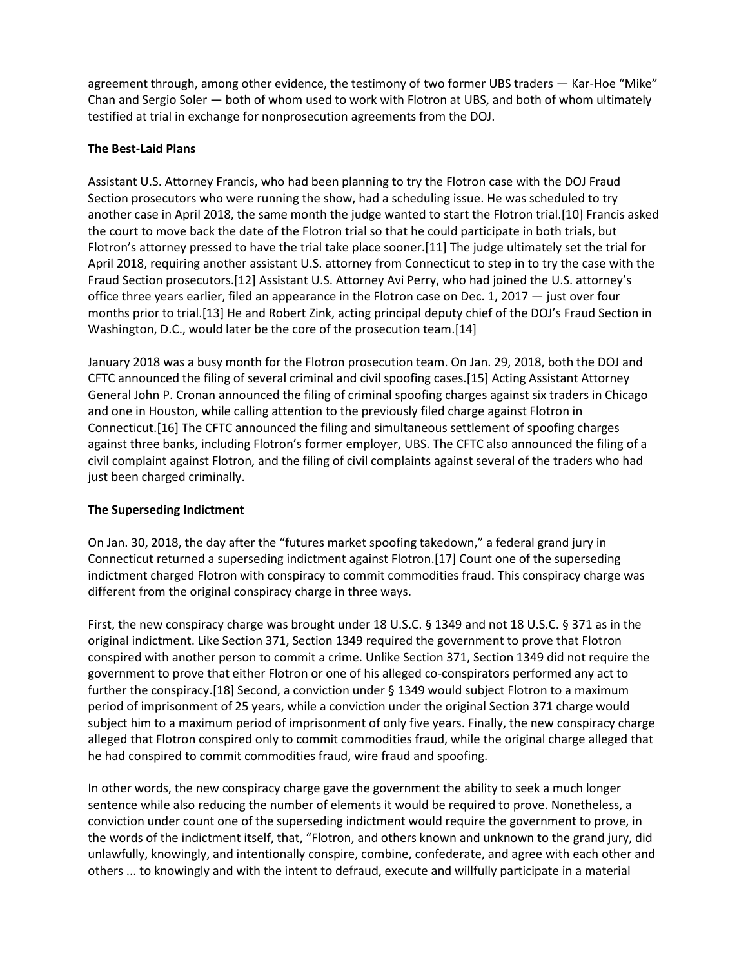agreement through, among other evidence, the testimony of two former UBS traders — Kar-Hoe "Mike" Chan and Sergio Soler — both of whom used to work with Flotron at UBS, and both of whom ultimately testified at trial in exchange for nonprosecution agreements from the DOJ.

#### **The Best-Laid Plans**

Assistant U.S. Attorney Francis, who had been planning to try the Flotron case with the DOJ Fraud Section prosecutors who were running the show, had a scheduling issue. He was scheduled to try another case in April 2018, the same month the judge wanted to start the Flotron trial.[10] Francis asked the court to move back the date of the Flotron trial so that he could participate in both trials, but Flotron's attorney pressed to have the trial take place sooner.[11] The judge ultimately set the trial for April 2018, requiring another assistant U.S. attorney from Connecticut to step in to try the case with the Fraud Section prosecutors.[12] Assistant U.S. Attorney Avi Perry, who had joined the U.S. attorney's office three years earlier, filed an appearance in the Flotron case on Dec. 1, 2017 — just over four months prior to trial.[13] He and Robert Zink, acting principal deputy chief of the DOJ's Fraud Section in Washington, D.C., would later be the core of the prosecution team.[14]

January 2018 was a busy month for the Flotron prosecution team. On Jan. 29, 2018, both the DOJ and CFTC announced the filing of several criminal and civil spoofing cases.[15] Acting Assistant Attorney General John P. Cronan announced the filing of criminal spoofing charges against six traders in Chicago and one in Houston, while calling attention to the previously filed charge against Flotron in Connecticut.[16] The CFTC announced the filing and simultaneous settlement of spoofing charges against three banks, including Flotron's former employer, UBS. The CFTC also announced the filing of a civil complaint against Flotron, and the filing of civil complaints against several of the traders who had just been charged criminally.

## **The Superseding Indictment**

On Jan. 30, 2018, the day after the "futures market spoofing takedown," a federal grand jury in Connecticut returned a superseding indictment against Flotron.[17] Count one of the superseding indictment charged Flotron with conspiracy to commit commodities fraud. This conspiracy charge was different from the original conspiracy charge in three ways.

First, the new conspiracy charge was brought under 18 U.S.C. § 1349 and not 18 U.S.C. § 371 as in the original indictment. Like Section 371, Section 1349 required the government to prove that Flotron conspired with another person to commit a crime. Unlike Section 371, Section 1349 did not require the government to prove that either Flotron or one of his alleged co-conspirators performed any act to further the conspiracy.[18] Second, a conviction under § 1349 would subject Flotron to a maximum period of imprisonment of 25 years, while a conviction under the original Section 371 charge would subject him to a maximum period of imprisonment of only five years. Finally, the new conspiracy charge alleged that Flotron conspired only to commit commodities fraud, while the original charge alleged that he had conspired to commit commodities fraud, wire fraud and spoofing.

In other words, the new conspiracy charge gave the government the ability to seek a much longer sentence while also reducing the number of elements it would be required to prove. Nonetheless, a conviction under count one of the superseding indictment would require the government to prove, in the words of the indictment itself, that, "Flotron, and others known and unknown to the grand jury, did unlawfully, knowingly, and intentionally conspire, combine, confederate, and agree with each other and others ... to knowingly and with the intent to defraud, execute and willfully participate in a material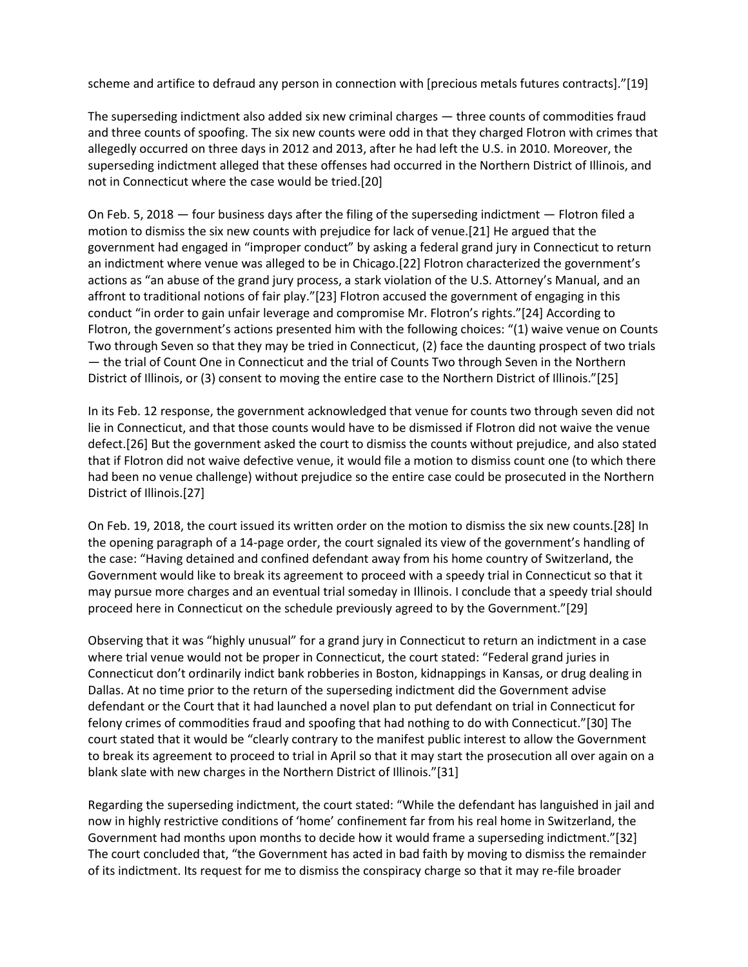scheme and artifice to defraud any person in connection with [precious metals futures contracts]."[19]

The superseding indictment also added six new criminal charges — three counts of commodities fraud and three counts of spoofing. The six new counts were odd in that they charged Flotron with crimes that allegedly occurred on three days in 2012 and 2013, after he had left the U.S. in 2010. Moreover, the superseding indictment alleged that these offenses had occurred in the Northern District of Illinois, and not in Connecticut where the case would be tried.[20]

On Feb. 5, 2018 — four business days after the filing of the superseding indictment — Flotron filed a motion to dismiss the six new counts with prejudice for lack of venue.[21] He argued that the government had engaged in "improper conduct" by asking a federal grand jury in Connecticut to return an indictment where venue was alleged to be in Chicago.[22] Flotron characterized the government's actions as "an abuse of the grand jury process, a stark violation of the U.S. Attorney's Manual, and an affront to traditional notions of fair play."[23] Flotron accused the government of engaging in this conduct "in order to gain unfair leverage and compromise Mr. Flotron's rights."[24] According to Flotron, the government's actions presented him with the following choices: "(1) waive venue on Counts Two through Seven so that they may be tried in Connecticut, (2) face the daunting prospect of two trials — the trial of Count One in Connecticut and the trial of Counts Two through Seven in the Northern District of Illinois, or (3) consent to moving the entire case to the Northern District of Illinois."[25]

In its Feb. 12 response, the government acknowledged that venue for counts two through seven did not lie in Connecticut, and that those counts would have to be dismissed if Flotron did not waive the venue defect.[26] But the government asked the court to dismiss the counts without prejudice, and also stated that if Flotron did not waive defective venue, it would file a motion to dismiss count one (to which there had been no venue challenge) without prejudice so the entire case could be prosecuted in the Northern District of Illinois.[27]

On Feb. 19, 2018, the court issued its written order on the motion to dismiss the six new counts.[28] In the opening paragraph of a 14-page order, the court signaled its view of the government's handling of the case: "Having detained and confined defendant away from his home country of Switzerland, the Government would like to break its agreement to proceed with a speedy trial in Connecticut so that it may pursue more charges and an eventual trial someday in Illinois. I conclude that a speedy trial should proceed here in Connecticut on the schedule previously agreed to by the Government."[29]

Observing that it was "highly unusual" for a grand jury in Connecticut to return an indictment in a case where trial venue would not be proper in Connecticut, the court stated: "Federal grand juries in Connecticut don't ordinarily indict bank robberies in Boston, kidnappings in Kansas, or drug dealing in Dallas. At no time prior to the return of the superseding indictment did the Government advise defendant or the Court that it had launched a novel plan to put defendant on trial in Connecticut for felony crimes of commodities fraud and spoofing that had nothing to do with Connecticut."[30] The court stated that it would be "clearly contrary to the manifest public interest to allow the Government to break its agreement to proceed to trial in April so that it may start the prosecution all over again on a blank slate with new charges in the Northern District of Illinois."[31]

Regarding the superseding indictment, the court stated: "While the defendant has languished in jail and now in highly restrictive conditions of 'home' confinement far from his real home in Switzerland, the Government had months upon months to decide how it would frame a superseding indictment."[32] The court concluded that, "the Government has acted in bad faith by moving to dismiss the remainder of its indictment. Its request for me to dismiss the conspiracy charge so that it may re-file broader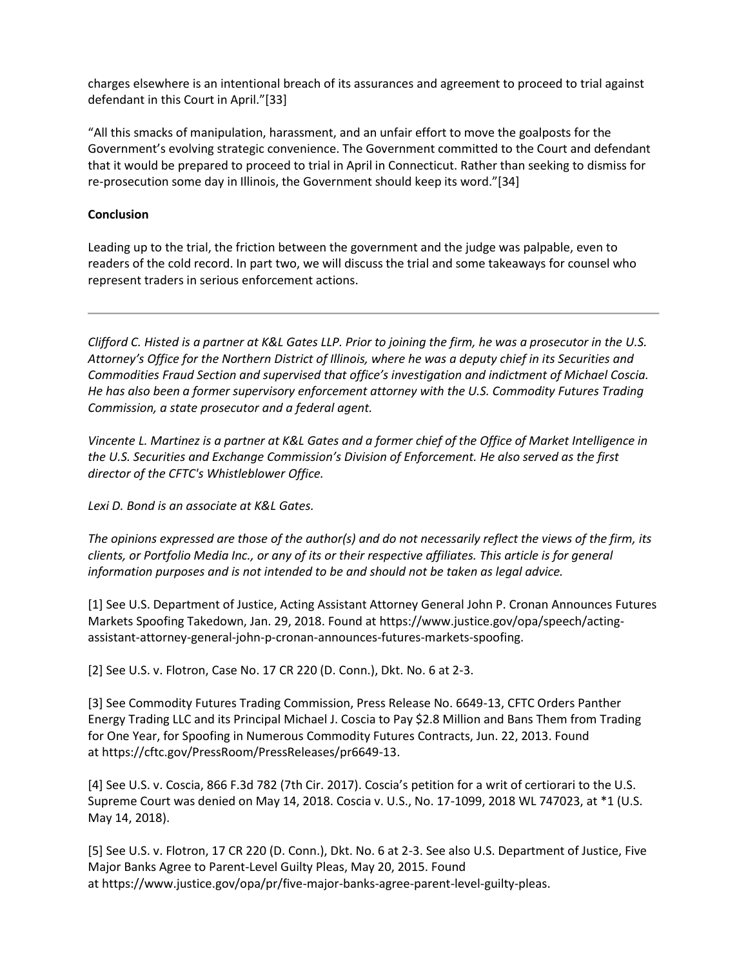charges elsewhere is an intentional breach of its assurances and agreement to proceed to trial against defendant in this Court in April."[33]

"All this smacks of manipulation, harassment, and an unfair effort to move the goalposts for the Government's evolving strategic convenience. The Government committed to the Court and defendant that it would be prepared to proceed to trial in April in Connecticut. Rather than seeking to dismiss for re-prosecution some day in Illinois, the Government should keep its word."[34]

#### **Conclusion**

Leading up to the trial, the friction between the government and the judge was palpable, even to readers of the cold record. In part two, we will discuss the trial and some takeaways for counsel who represent traders in serious enforcement actions.

*Clifford C. Histed is a partner at K&L Gates LLP. Prior to joining the firm, he was a prosecutor in the U.S. Attorney's Office for the Northern District of Illinois, where he was a deputy chief in its Securities and Commodities Fraud Section and supervised that office's investigation and indictment of Michael Coscia. He has also been a former supervisory enforcement attorney with the U.S. Commodity Futures Trading Commission, a state prosecutor and a federal agent.*

*Vincente L. Martinez is a partner at K&L Gates and a former chief of the Office of Market Intelligence in the U.S. Securities and Exchange Commission's Division of Enforcement. He also served as the first director of the CFTC's Whistleblower Office.*

*Lexi D. Bond is an associate at K&L Gates.*

*The opinions expressed are those of the author(s) and do not necessarily reflect the views of the firm, its clients, or Portfolio Media Inc., or any of its or their respective affiliates. This article is for general information purposes and is not intended to be and should not be taken as legal advice.*

[1] See U.S. Department of Justice, Acting Assistant Attorney General John P. Cronan Announces Futures Markets Spoofing Takedown, Jan. 29, 2018. Found at https://www.justice.gov/opa/speech/actingassistant-attorney-general-john-p-cronan-announces-futures-markets-spoofing.

[2] See U.S. v. Flotron, Case No. 17 CR 220 (D. Conn.), Dkt. No. 6 at 2-3.

[3] See Commodity Futures Trading Commission, Press Release No. 6649-13, CFTC Orders Panther Energy Trading LLC and its Principal Michael J. Coscia to Pay \$2.8 Million and Bans Them from Trading for One Year, for Spoofing in Numerous Commodity Futures Contracts, Jun. 22, 2013. Found at https://cftc.gov/PressRoom/PressReleases/pr6649-13.

[4] See U.S. v. Coscia, 866 F.3d 782 (7th Cir. 2017). Coscia's petition for a writ of certiorari to the U.S. Supreme Court was denied on May 14, 2018. Coscia v. U.S., No. 17-1099, 2018 WL 747023, at \*1 (U.S. May 14, 2018).

[5] See U.S. v. Flotron, 17 CR 220 (D. Conn.), Dkt. No. 6 at 2-3. See also U.S. Department of Justice, Five Major Banks Agree to Parent-Level Guilty Pleas, May 20, 2015. Found at https://www.justice.gov/opa/pr/five-major-banks-agree-parent-level-guilty-pleas.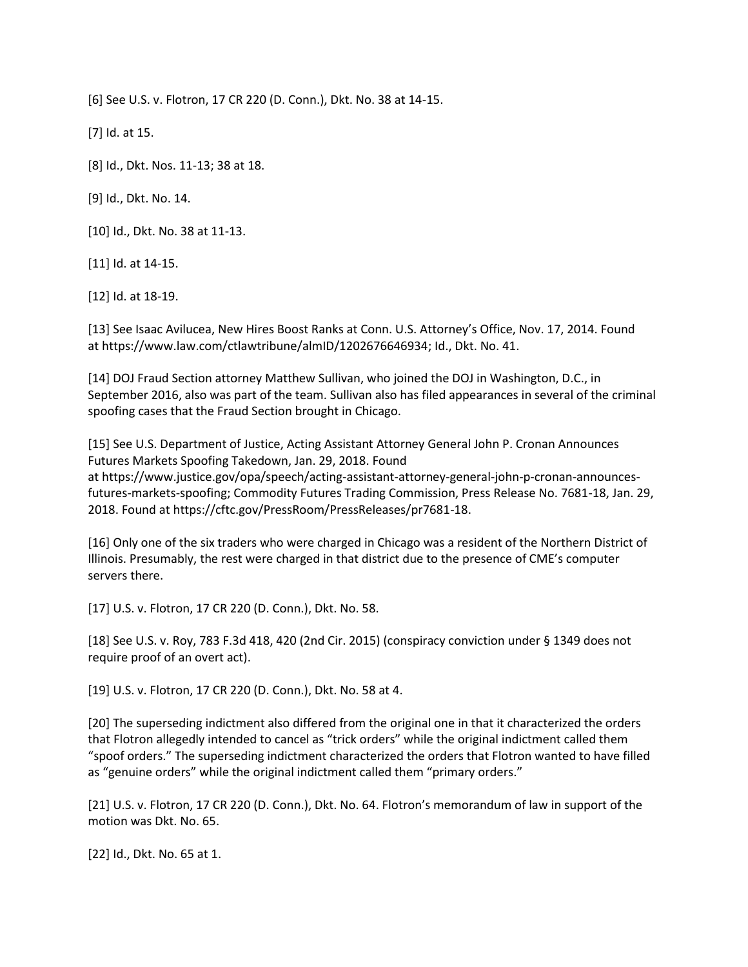[6] See U.S. v. Flotron, 17 CR 220 (D. Conn.), Dkt. No. 38 at 14-15.

[7] Id. at 15.

[8] Id., Dkt. Nos. 11-13; 38 at 18.

[9] Id., Dkt. No. 14.

[10] Id., Dkt. No. 38 at 11-13.

[11] Id. at 14-15.

[12] Id. at 18-19.

[13] See Isaac Avilucea, New Hires Boost Ranks at Conn. U.S. Attorney's Office, Nov. 17, 2014. Found at https://www.law.com/ctlawtribune/almID/1202676646934; Id., Dkt. No. 41.

[14] DOJ Fraud Section attorney Matthew Sullivan, who joined the DOJ in Washington, D.C., in September 2016, also was part of the team. Sullivan also has filed appearances in several of the criminal spoofing cases that the Fraud Section brought in Chicago.

[15] See U.S. Department of Justice, Acting Assistant Attorney General John P. Cronan Announces Futures Markets Spoofing Takedown, Jan. 29, 2018. Found at https://www.justice.gov/opa/speech/acting-assistant-attorney-general-john-p-cronan-announcesfutures-markets-spoofing; Commodity Futures Trading Commission, Press Release No. 7681-18, Jan. 29, 2018. Found at https://cftc.gov/PressRoom/PressReleases/pr7681-18.

[16] Only one of the six traders who were charged in Chicago was a resident of the Northern District of Illinois. Presumably, the rest were charged in that district due to the presence of CME's computer servers there.

[17] U.S. v. Flotron, 17 CR 220 (D. Conn.), Dkt. No. 58.

[18] See U.S. v. Roy, 783 F.3d 418, 420 (2nd Cir. 2015) (conspiracy conviction under § 1349 does not require proof of an overt act).

[19] U.S. v. Flotron, 17 CR 220 (D. Conn.), Dkt. No. 58 at 4.

[20] The superseding indictment also differed from the original one in that it characterized the orders that Flotron allegedly intended to cancel as "trick orders" while the original indictment called them "spoof orders." The superseding indictment characterized the orders that Flotron wanted to have filled as "genuine orders" while the original indictment called them "primary orders."

[21] U.S. v. Flotron, 17 CR 220 (D. Conn.), Dkt. No. 64. Flotron's memorandum of law in support of the motion was Dkt. No. 65.

[22] Id., Dkt. No. 65 at 1.